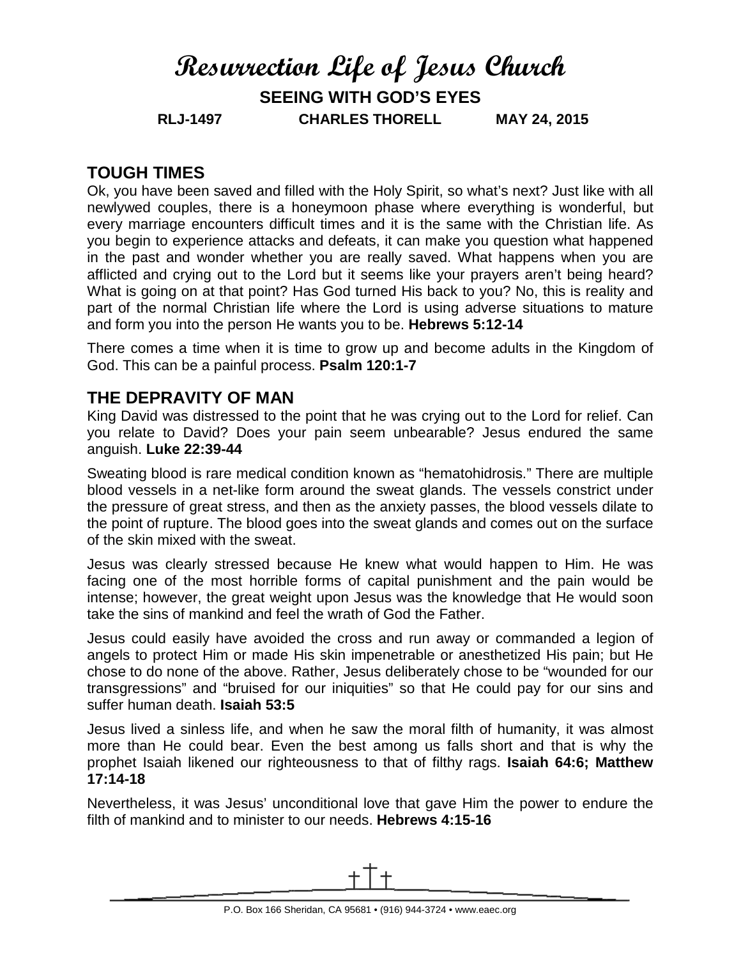# **Resurrection Life of Jesus Church SEEING WITH GOD'S EYES RLJ-1497 CHARLES THORELL MAY 24, 2015**

### **TOUGH TIMES**

Ok, you have been saved and filled with the Holy Spirit, so what's next? Just like with all newlywed couples, there is a honeymoon phase where everything is wonderful, but every marriage encounters difficult times and it is the same with the Christian life. As you begin to experience attacks and defeats, it can make you question what happened in the past and wonder whether you are really saved. What happens when you are afflicted and crying out to the Lord but it seems like your prayers aren't being heard? What is going on at that point? Has God turned His back to you? No, this is reality and part of the normal Christian life where the Lord is using adverse situations to mature and form you into the person He wants you to be. **Hebrews 5:12-14**

There comes a time when it is time to grow up and become adults in the Kingdom of God. This can be a painful process. **Psalm 120:1-7**

#### **THE DEPRAVITY OF MAN**

King David was distressed to the point that he was crying out to the Lord for relief. Can you relate to David? Does your pain seem unbearable? Jesus endured the same anguish. **Luke 22:39-44**

Sweating blood is rare medical condition known as "hematohidrosis." There are multiple blood vessels in a net-like form around the sweat glands. The vessels constrict under the pressure of great stress, and then as the anxiety passes, the blood vessels dilate to the point of rupture. The blood goes into the sweat glands and comes out on the surface of the skin mixed with the sweat.

Jesus was clearly stressed because He knew what would happen to Him. He was facing one of the most horrible forms of capital punishment and the pain would be intense; however, the great weight upon Jesus was the knowledge that He would soon take the sins of mankind and feel the wrath of God the Father.

Jesus could easily have avoided the cross and run away or commanded a legion of angels to protect Him or made His skin impenetrable or anesthetized His pain; but He chose to do none of the above. Rather, Jesus deliberately chose to be "wounded for our transgressions" and "bruised for our iniquities" so that He could pay for our sins and suffer human death. **Isaiah 53:5**

Jesus lived a sinless life, and when he saw the moral filth of humanity, it was almost more than He could bear. Even the best among us falls short and that is why the prophet Isaiah likened our righteousness to that of filthy rags. **Isaiah 64:6; Matthew 17:14-18**

Nevertheless, it was Jesus' unconditional love that gave Him the power to endure the filth of mankind and to minister to our needs. **Hebrews 4:15-16**